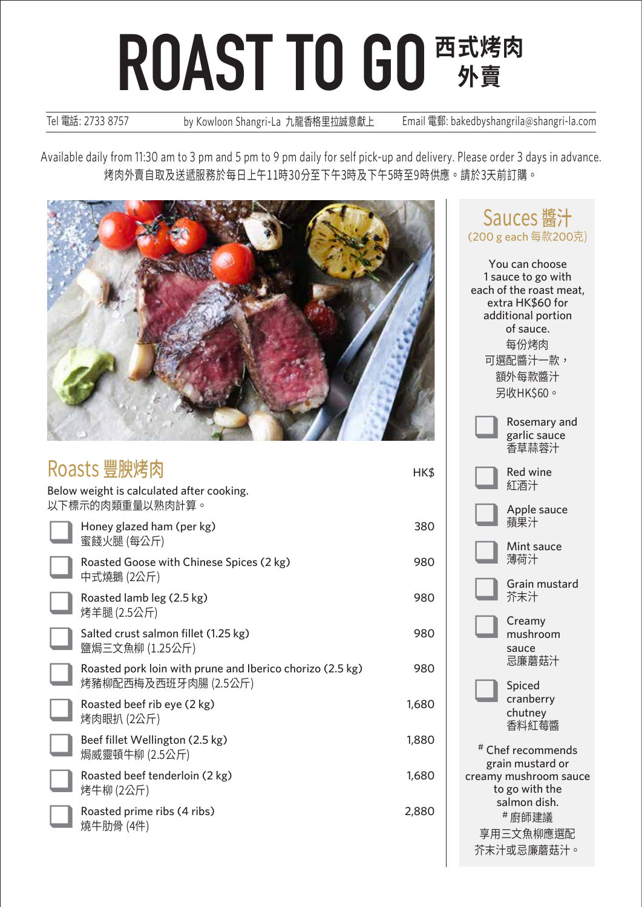Tel 電話: 2733 8757 by Kowloon Shangri-La 九龍香格里拉誠意獻上 Email 電郵: bakedbyshangrila@shangri-la.com

Available daily from 11:30 am to 3 pm and 5 pm to 9 pm daily for self pick-up and delivery. Please order 3 days in advance. 烤肉外賣自取及送遞服務於每日上午11時30分至下午3時及下午5時至9時供應。請於3天前訂購。



| Roasts 豐腴烤肉                                                  |                                                                                   |       |
|--------------------------------------------------------------|-----------------------------------------------------------------------------------|-------|
| Below weight is calculated after cooking.<br>以下標示的肉類重量以熟肉計算。 |                                                                                   |       |
|                                                              | Honey glazed ham (per kg)<br>蜜餞火腿 (每公斤)                                           | 380   |
|                                                              | Roasted Goose with Chinese Spices (2 kg)<br>中式燒鵝 (2公斤)                            | 980   |
|                                                              | Roasted lamb leg (2.5 kg)<br>烤羊腿 (2.5公斤)                                          | 980   |
|                                                              | Salted crust salmon fillet (1.25 kg)<br>鹽焗三文魚柳 (1.25公斤)                           | 980   |
|                                                              | Roasted pork loin with prune and Iberico chorizo (2.5 kg)<br>烤豬柳配西梅及西班牙肉腸 (2.5公斤) | 980   |
|                                                              | Roasted beef rib eye (2 kg)<br>烤肉眼扒 (2公斤)                                         | 1,680 |
|                                                              | Beef fillet Wellington (2.5 kg)<br>焗威靈頓牛柳 (2.5公斤)                                 | 1,880 |
|                                                              | Roasted beef tenderloin (2 kg)<br>烤牛柳 (2公斤)                                       | 1,680 |
|                                                              | Roasted prime ribs (4 ribs)<br>燒牛肋骨 (4件)                                          | 2,880 |
|                                                              |                                                                                   |       |

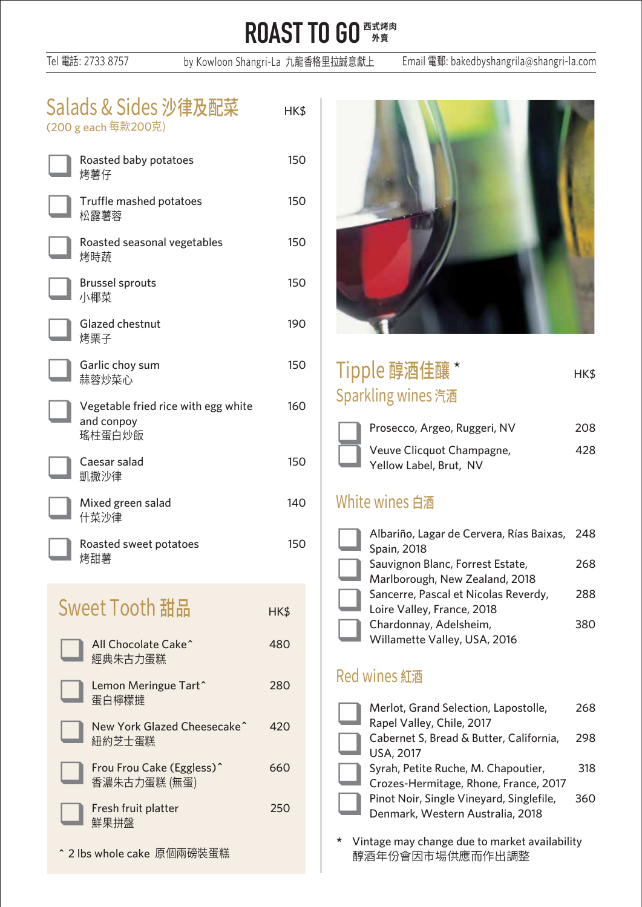Tel 電話: 2733 8757 by Kowloon Shangri-La 九龍香格里拉誠意獻上 Email 電郵: bakedbyshangrila@shangri-la.com

| Salads & Sides 沙律及配菜<br>(200 g each 每款200克)                 | HK\$ |  |
|-------------------------------------------------------------|------|--|
| Roasted baby potatoes<br>烤薯仔                                | 150  |  |
| Truffle mashed potatoes<br>松露薯蓉                             |      |  |
| Roasted seasonal vegetables<br>烤時蔬                          |      |  |
| <b>Brussel sprouts</b><br>小椰菜                               |      |  |
| Glazed chestnut<br>烤栗子                                      | 190  |  |
| Garlic choy sum<br>蒜蓉炒菜心                                    | 150  |  |
| Vegetable fried rice with egg white<br>and conpoy<br>瑤柱蛋白炒飯 | 160  |  |
| Caesar salad<br>凱撒沙律                                        | 150  |  |
| Mixed green salad<br>什菜沙律                                   | 140  |  |
| Roasted sweet potatoes<br>烤甜薯                               | 150  |  |
| Sweet Tooth 甜品                                              | HK\$ |  |
| All Chocolate Cake^<br>經典朱古力蛋糕                              | 480  |  |
| Lemon Meringue Tart^<br>蛋白檸檬撻                               | 280  |  |
| New York Glazed Cheesecake^<br>紐約芝士蛋糕                       | 420  |  |
| Frou Frou Cake (Eggless)^<br>香濃朱古力蛋糕 (無蛋)                   | 660  |  |
| Fresh fruit platter<br>鮮果拼盤                                 | 250  |  |
| ^ 2 lbs whole cake  原個兩磅裝蛋糕                                 |      |  |



| Tipple 醇酒佳釀 *      | HK\$ |
|--------------------|------|
| Sparkling wines 汽酒 |      |

| Prosecco, Argeo, Ruggeri, NV                        | 208 |
|-----------------------------------------------------|-----|
| Veuve Clicquot Champagne,<br>Yellow Label, Brut, NV | 28  |

#### White wines 白酒

| Albariño, Lagar de Cervera, Rías Baixas, 248<br>Spain, 2018        |     |
|--------------------------------------------------------------------|-----|
| Sauvignon Blanc, Forrest Estate,<br>Marlborough, New Zealand, 2018 | 268 |
| Sancerre, Pascal et Nicolas Reverdy,<br>Loire Valley, France, 2018 | 288 |
| Chardonnay, Adelsheim,<br>Willamette Valley, USA, 2016             | 380 |
|                                                                    |     |

### **Red wines 紅酒**

|  | Merlot, Grand Selection, Lapostolle,     | 268 |
|--|------------------------------------------|-----|
|  | Rapel Valley, Chile, 2017                |     |
|  | Cabernet S, Bread & Butter, California,  | 298 |
|  | <b>USA, 2017</b>                         |     |
|  | Syrah, Petite Ruche, M. Chapoutier,      | 318 |
|  | Crozes-Hermitage, Rhone, France, 2017    |     |
|  | Pinot Noir, Single Vineyard, Singlefile, | 360 |
|  | Denmark, Western Australia, 2018         |     |
|  |                                          |     |

\* Vintage may change due to market availability 醇酒年份會因市場供應而作出調整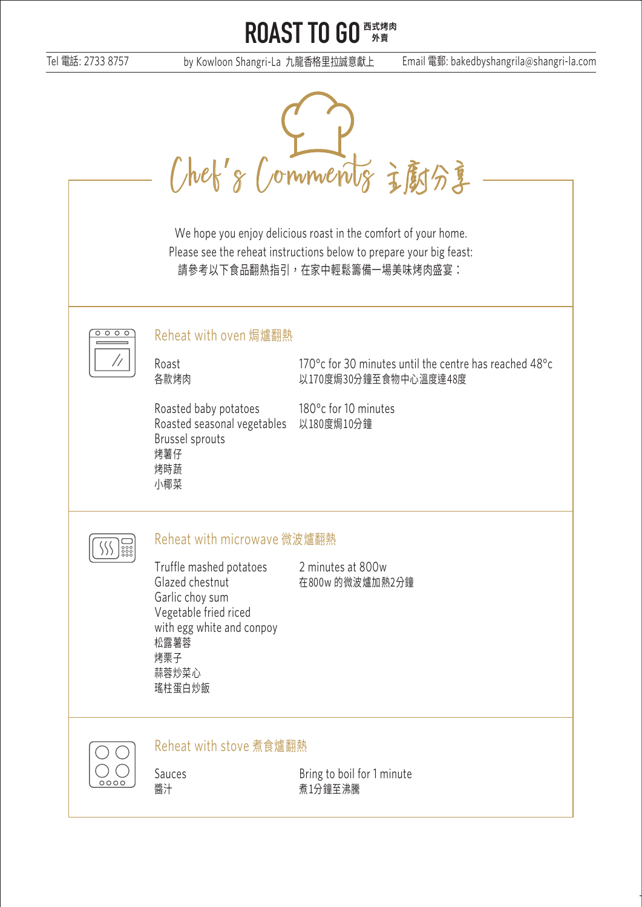Tel 電話: 2733 8757 by Kowloon Shangri-La 九龍香格里拉誠意獻上 Email 電郵: bakedbyshangrila@shangri-la.com